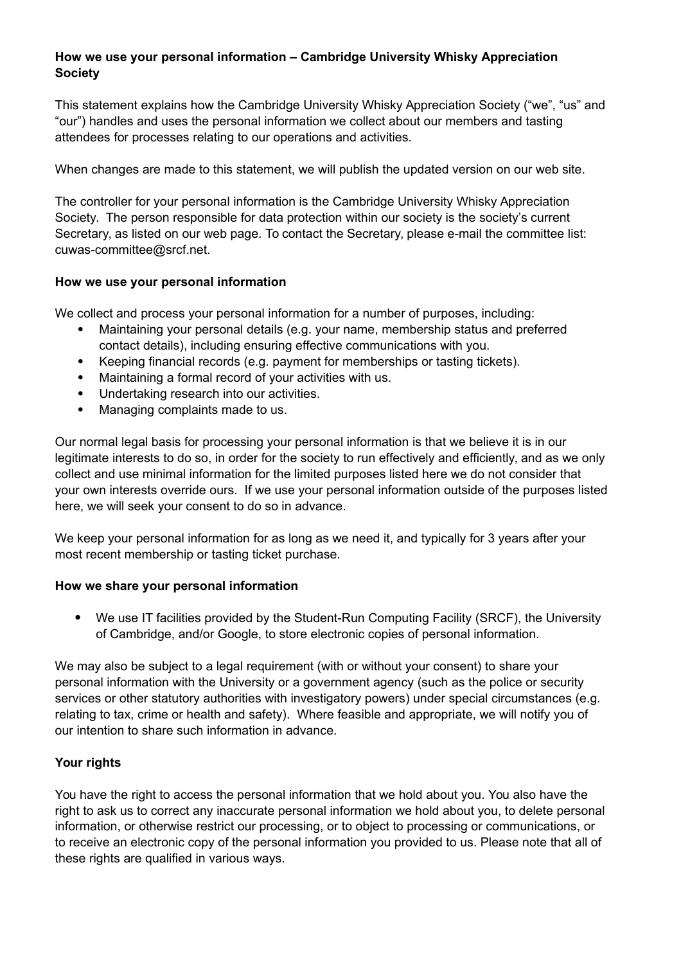## **How we use your personal information – Cambridge University Whisky Appreciation Society**

This statement explains how the Cambridge University Whisky Appreciation Society ("we", "us" and "our") handles and uses the personal information we collect about our members and tasting attendees for processes relating to our operations and activities.

When changes are made to this statement, we will publish the updated version on our web site.

The controller for your personal information is the Cambridge University Whisky Appreciation Society. The person responsible for data protection within our society is the society's current Secretary, as listed on our web page. To contact the Secretary, please e-mail the committee list: cuwas-committee@srcf.net.

## **How we use your personal information**

We collect and process your personal information for a number of purposes, including:

- Maintaining your personal details (e.g. your name, membership status and preferred contact details), including ensuring effective communications with you.
- Keeping financial records (e.g. payment for memberships or tasting tickets).
- Maintaining a formal record of your activities with us.
- Undertaking research into our activities.
- Managing complaints made to us.

Our normal legal basis for processing your personal information is that we believe it is in our legitimate interests to do so, in order for the society to run effectively and efficiently, and as we only collect and use minimal information for the limited purposes listed here we do not consider that your own interests override ours. If we use your personal information outside of the purposes listed here, we will seek your consent to do so in advance.

We keep your personal information for as long as we need it, and typically for 3 years after your most recent membership or tasting ticket purchase.

## **How we share your personal information**

 We use IT facilities provided by the Student-Run Computing Facility (SRCF), the University of Cambridge, and/or Google, to store electronic copies of personal information.

We may also be subject to a legal requirement (with or without your consent) to share your personal information with the University or a government agency (such as the police or security services or other statutory authorities with investigatory powers) under special circumstances (e.g. relating to tax, crime or health and safety). Where feasible and appropriate, we will notify you of our intention to share such information in advance.

## **Your rights**

You have the right to access the personal information that we hold about you. You also have the right to ask us to correct any inaccurate personal information we hold about you, to delete personal information, or otherwise restrict our processing, or to object to processing or communications, or to receive an electronic copy of the personal information you provided to us. Please note that all of these rights are qualified in various ways.